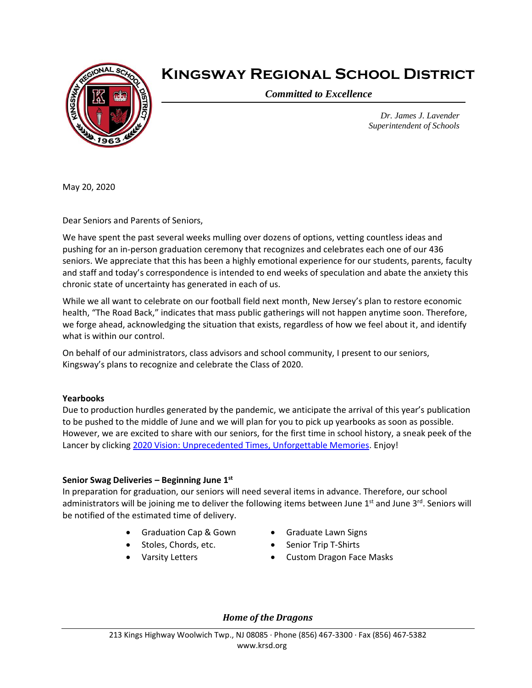

# **Kingsway Regional School District**

*Committed to Excellence*

*Dr. James J. Lavender Superintendent of Schools*

May 20, 2020

Dear Seniors and Parents of Seniors,

We have spent the past several weeks mulling over dozens of options, vetting countless ideas and pushing for an in-person graduation ceremony that recognizes and celebrates each one of our 436 seniors. We appreciate that this has been a highly emotional experience for our students, parents, faculty and staff and today's correspondence is intended to end weeks of speculation and abate the anxiety this chronic state of uncertainty has generated in each of us.

While we all want to celebrate on our football field next month, New Jersey's plan to restore economic health, "The Road Back," indicates that mass public gatherings will not happen anytime soon. Therefore, we forge ahead, acknowledging the situation that exists, regardless of how we feel about it, and identify what is within our control.

On behalf of our administrators, class advisors and school community, I present to our seniors, Kingsway's plans to recognize and celebrate the Class of 2020.

#### **Yearbooks**

Due to production hurdles generated by the pandemic, we anticipate the arrival of this year's publication to be pushed to the middle of June and we will plan for you to pick up yearbooks as soon as possible. However, we are excited to share with our seniors, for the first time in school history, a sneak peek of the Lancer by clicking [2020 Vision: Unprecedented Times, Unforgettable Memories.](https://ensemble.kingsway.k12.nj.us/Watch/lancer2020) Enjoy!

## **Senior Swag Deliveries – Beginning June 1st**

In preparation for graduation, our seniors will need several items in advance. Therefore, our school administrators will be joining me to deliver the following items between June 1<sup>st</sup> and June 3<sup>rd</sup>. Seniors will be notified of the estimated time of delivery.

- Graduation Cap & Gown
	- Stoles, Chords, etc.
- Varsity Letters
- Graduate Lawn Signs
- Senior Trip T-Shirts
- Custom Dragon Face Masks

*Home of the Dragons*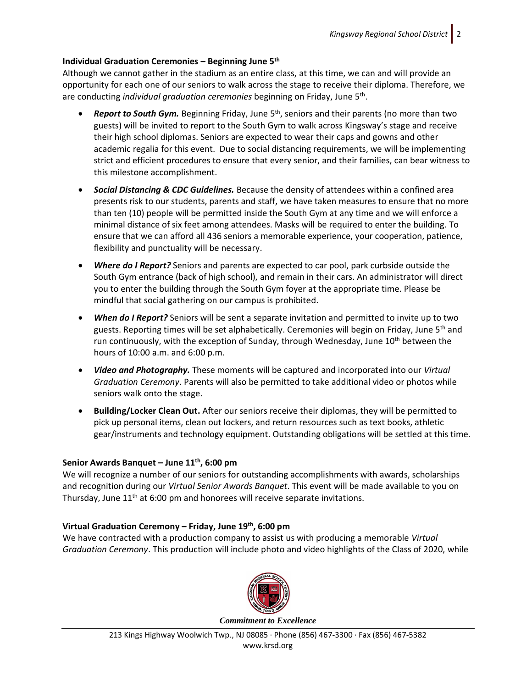## **Individual Graduation Ceremonies – Beginning June 5th**

Although we cannot gather in the stadium as an entire class, at this time, we can and will provide an opportunity for each one of our seniors to walk across the stage to receive their diploma. Therefore, we are conducting *individual graduation ceremonies* beginning on Friday, June 5<sup>th</sup>.

- **Report to South Gym.** Beginning Friday, June 5<sup>th</sup>, seniors and their parents (no more than two guests) will be invited to report to the South Gym to walk across Kingsway's stage and receive their high school diplomas. Seniors are expected to wear their caps and gowns and other academic regalia for this event. Due to social distancing requirements, we will be implementing strict and efficient procedures to ensure that every senior, and their families, can bear witness to this milestone accomplishment.
- *Social Distancing & CDC Guidelines.* Because the density of attendees within a confined area presents risk to our students, parents and staff, we have taken measures to ensure that no more than ten (10) people will be permitted inside the South Gym at any time and we will enforce a minimal distance of six feet among attendees. Masks will be required to enter the building. To ensure that we can afford all 436 seniors a memorable experience, your cooperation, patience, flexibility and punctuality will be necessary.
- *Where do I Report?* Seniors and parents are expected to car pool, park curbside outside the South Gym entrance (back of high school), and remain in their cars. An administrator will direct you to enter the building through the South Gym foyer at the appropriate time. Please be mindful that social gathering on our campus is prohibited.
- *When do I Report?* Seniors will be sent a separate invitation and permitted to invite up to two guests. Reporting times will be set alphabetically. Ceremonies will begin on Friday, June 5<sup>th</sup> and run continuously, with the exception of Sunday, through Wednesday, June  $10<sup>th</sup>$  between the hours of 10:00 a.m. and 6:00 p.m.
- *Video and Photography.* These moments will be captured and incorporated into our *Virtual Graduation Ceremony*. Parents will also be permitted to take additional video or photos while seniors walk onto the stage.
- **Building/Locker Clean Out.** After our seniors receive their diplomas, they will be permitted to pick up personal items, clean out lockers, and return resources such as text books, athletic gear/instruments and technology equipment. Outstanding obligations will be settled at this time.

#### **Senior Awards Banquet – June 11th, 6:00 pm**

We will recognize a number of our seniors for outstanding accomplishments with awards, scholarships and recognition during our *Virtual Senior Awards Banquet*. This event will be made available to you on Thursday, June  $11<sup>th</sup>$  at 6:00 pm and honorees will receive separate invitations.

## **Virtual Graduation Ceremony – Friday, June 19th, 6:00 pm**

We have contracted with a production company to assist us with producing a memorable *Virtual Graduation Ceremony*. This production will include photo and video highlights of the Class of 2020, while



213 Kings Highway Woolwich Twp., NJ 08085 ∙ Phone (856) 467-3300 ∙ Fax (856) 467-5382